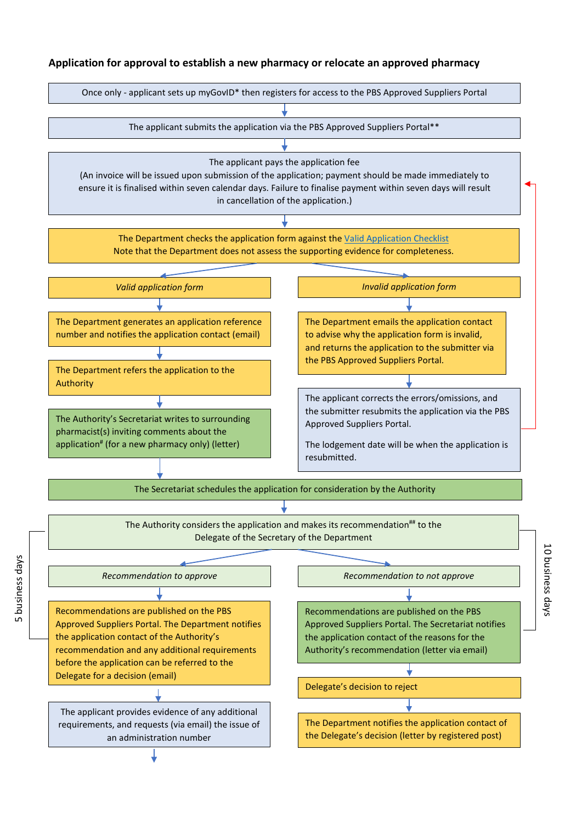## **Application for approval to establish a new pharmacy or relocate an approved pharmacy**